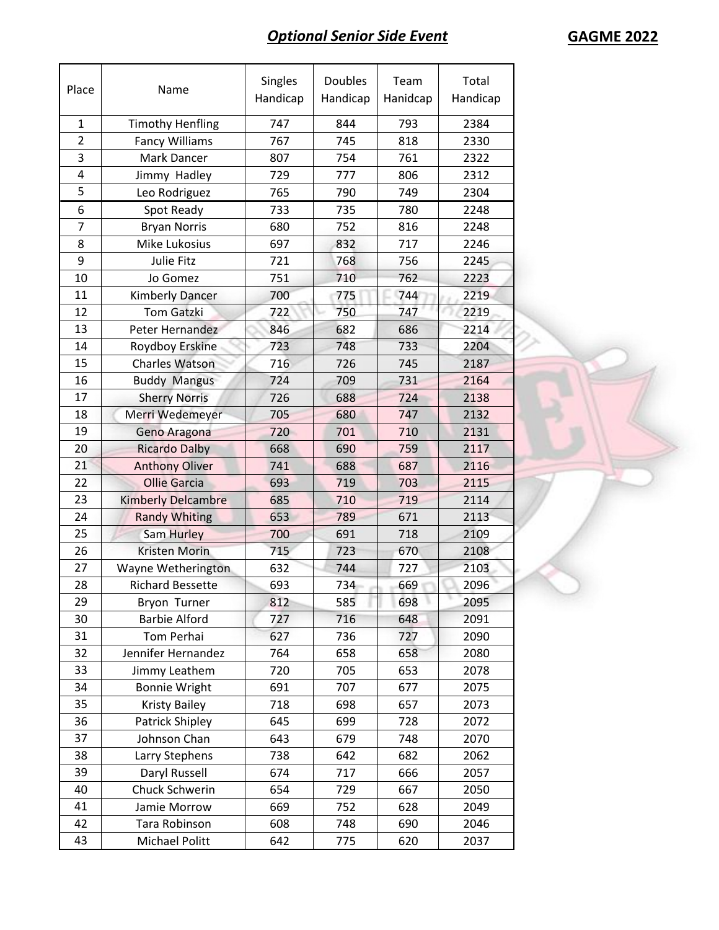## **Optional Senior Side Event GAGME 2022**

| Place          | Name                      | Singles<br>Handicap | <b>Doubles</b><br>Handicap | Team<br>Hanidcap | Total<br>Handicap |
|----------------|---------------------------|---------------------|----------------------------|------------------|-------------------|
| $\mathbf{1}$   | <b>Timothy Henfling</b>   | 747                 | 844                        | 793              | 2384              |
| $\overline{2}$ | <b>Fancy Williams</b>     | 767                 | 745                        | 818              | 2330              |
| 3              | Mark Dancer               | 807                 | 754                        | 761              | 2322              |
| 4              | Jimmy Hadley              | 729                 | 777                        | 806              | 2312              |
| 5              | Leo Rodriguez             | 765                 | 790                        | 749              | 2304              |
| 6              | Spot Ready                | 733                 | 735                        | 780              | 2248              |
| $\overline{7}$ | <b>Bryan Norris</b>       | 680                 | 752                        | 816              | 2248              |
| 8              | Mike Lukosius             | 697                 | 832                        | 717              | 2246              |
| 9              | Julie Fitz                | 721                 | 768                        | 756              | 2245              |
| 10             | Jo Gomez                  | 751                 | 710                        | 762              | 2223              |
| 11             | <b>Kimberly Dancer</b>    | 700                 | 775                        | 744              | 2219              |
| 12             | <b>Tom Gatzki</b>         | 722                 | 750                        | 747              | 2219              |
| 13             | Peter Hernandez           | 846                 | 682                        | 686              | 2214              |
| 14             | Roydboy Erskine           | 723                 | 748                        | 733              | 2204              |
| 15             | Charles Watson            | 716                 | 726                        | 745              | 2187              |
| 16             | <b>Buddy Mangus</b>       | 724                 | 709                        | 731              | 2164              |
| 17             | <b>Sherry Norris</b>      | 726                 | 688                        | 724              | 2138              |
| 18             | Merri Wedemeyer           | 705                 | 680                        | 747              | 2132              |
| 19             | Geno Aragona              | 720                 | 701                        | 710              | 2131              |
| 20             | <b>Ricardo Dalby</b>      | 668                 | 690                        | 759              | 2117              |
| 21             | <b>Anthony Oliver</b>     | 741                 | 688                        | 687              | 2116              |
| 22             | <b>Ollie Garcia</b>       | 693                 | 719                        | 703              | 2115              |
| 23             | <b>Kimberly Delcambre</b> | 685                 | 710                        | 719              | 2114              |
| 24             | <b>Randy Whiting</b>      | 653                 | 789                        | 671              | 2113              |
| 25             | Sam Hurley                | 700                 | 691                        | 718              | 2109              |
| 26             | <b>Kristen Morin</b>      | 715                 | 723                        | 670              | 2108              |
| 27             | Wayne Wetherington        | 632                 | 744                        | 727              | 2103              |
| 28             | <b>Richard Bessette</b>   | 693                 | 734                        | 669              | 2096              |
| 29             | Bryon Turner              | 812                 | 585                        | 698              | 2095              |
| 30             | <b>Barbie Alford</b>      | 727                 | 716                        | 648              | 2091              |
| 31             | Tom Perhai                | 627                 | 736                        | 727              | 2090              |
| 32             | Jennifer Hernandez        | 764                 | 658                        | 658              | 2080              |
| 33             | Jimmy Leathem             | 720                 | 705                        | 653              | 2078              |
| 34             | <b>Bonnie Wright</b>      | 691                 | 707                        | 677              | 2075              |
| 35             | <b>Kristy Bailey</b>      | 718                 | 698                        | 657              | 2073              |
| 36             | Patrick Shipley           | 645                 | 699                        | 728              | 2072              |
| 37             | Johnson Chan              | 643                 | 679                        | 748              | 2070              |
| 38             | Larry Stephens            | 738                 | 642                        | 682              | 2062              |
| 39             | Daryl Russell             | 674                 | 717                        | 666              | 2057              |
| 40             | Chuck Schwerin            | 654                 | 729                        | 667              | 2050              |
| 41             | Jamie Morrow              | 669                 | 752                        | 628              | 2049              |
| 42             | Tara Robinson             | 608                 | 748                        | 690              | 2046              |
| 43             | Michael Politt            | 642                 | 775                        | 620              | 2037              |